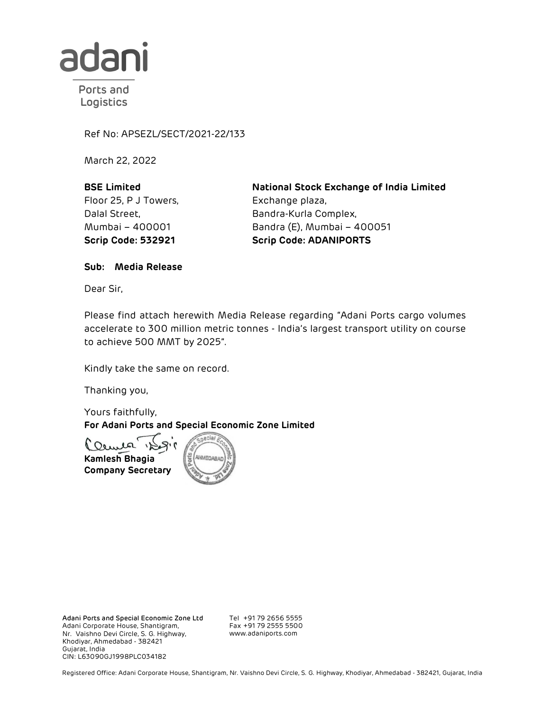

Ports and Logistics

Ref No: APSEZL/SECT/2021-22/133

March 22, 2022

BSE Limited Floor 25, P J Towers, Dalal Street, Mumbai – 400001

National Stock Exchange of India Limited Exchange plaza, Bandra-Kurla Complex, Bandra (E), Mumbai – 400051 Scrip Code: 532921 Scrip Code: ADANIPORTS

Sub: Media Release

Dear Sir,

Please find attach herewith Media Release regarding "Adani Ports cargo volumes accelerate to 300 million metric tonnes - India's largest transport utility on course to achieve 500 MMT by 2025".

Kindly take the same on record.

Thanking you,

Yours faithfully, For Adani Ports and Special Economic Zone Limited



Adani Ports and Special Economic Zone Ltd Adani Corporate House, Shantigram, Nr. Vaishno Devi Circle, S. G. Highway, Khodiyar, Ahmedabad - 382421 Gujarat, India CIN: L63090GJ1998PLC034182

Tel +91 79 2656 5555 Fax +91 79 2555 5500 www.adaniports.com

Registered Office: Adani Corporate House, Shantigram, Nr. Vaishno Devi Circle, S. G. Highway, Khodiyar, Ahmedabad - 382421, Gujarat, India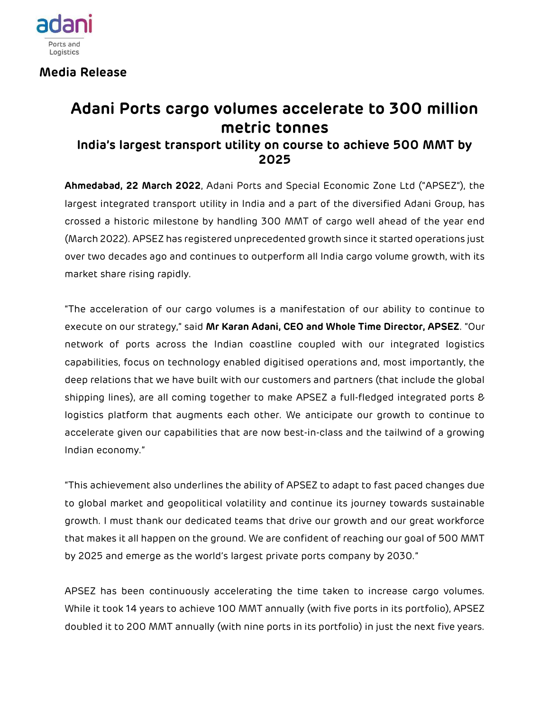

Media Release

## Adani Ports cargo volumes accelerate to 300 million metric tonnes

## India's largest transport utility on course to achieve 500 MMT by 2025

Ahmedabad, 22 March 2022, Adani Ports and Special Economic Zone Ltd ("APSEZ"), the largest integrated transport utility in India and a part of the diversified Adani Group, has crossed a historic milestone by handling 300 MMT of cargo well ahead of the year end (March 2022). APSEZ has registered unprecedented growth since it started operations just over two decades ago and continues to outperform all India cargo volume growth, with its market share rising rapidly.

"The acceleration of our cargo volumes is a manifestation of our ability to continue to execute on our strategy," said Mr Karan Adani, CEO and Whole Time Director, APSEZ. "Our network of ports across the Indian coastline coupled with our integrated logistics capabilities, focus on technology enabled digitised operations and, most importantly, the deep relations that we have built with our customers and partners (that include the global shipping lines), are all coming together to make APSEZ a full-fledged integrated ports & logistics platform that augments each other. We anticipate our growth to continue to accelerate given our capabilities that are now best-in-class and the tailwind of a growing Indian economy."

"This achievement also underlines the ability of APSEZ to adapt to fast paced changes due to global market and geopolitical volatility and continue its journey towards sustainable growth. I must thank our dedicated teams that drive our growth and our great workforce that makes it all happen on the ground. We are confident of reaching our goal of 500 MMT by 2025 and emerge as the world's largest private ports company by 2030."

APSEZ has been continuously accelerating the time taken to increase cargo volumes. While it took 14 years to achieve 100 MMT annually (with five ports in its portfolio), APSEZ doubled it to 200 MMT annually (with nine ports in its portfolio) in just the next five years.